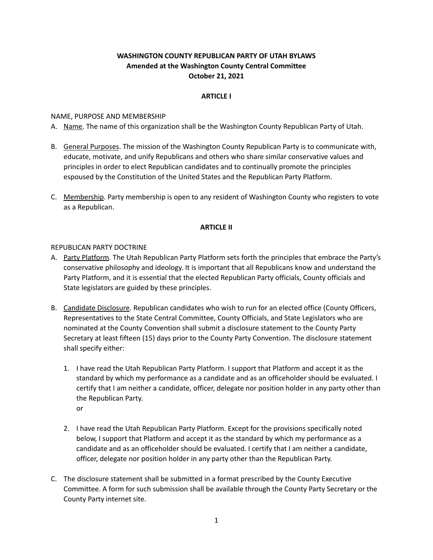# **WASHINGTON COUNTY REPUBLICAN PARTY OF UTAH BYLAWS Amended at the Washington County Central Committee October 21, 2021**

#### **ARTICLE I**

#### NAME, PURPOSE AND MEMBERSHIP

- A. Name. The name of this organization shall be the Washington County Republican Party of Utah.
- B. General Purposes. The mission of the Washington County Republican Party is to communicate with, educate, motivate, and unify Republicans and others who share similar conservative values and principles in order to elect Republican candidates and to continually promote the principles espoused by the Constitution of the United States and the Republican Party Platform.
- C. Membership. Party membership is open to any resident of Washington County who registers to vote as a Republican.

## **ARTICLE II**

#### REPUBLICAN PARTY DOCTRINE

- A. Party Platform. The Utah Republican Party Platform sets forth the principles that embrace the Party's conservative philosophy and ideology. It is important that all Republicans know and understand the Party Platform, and it is essential that the elected Republican Party officials, County officials and State legislators are guided by these principles.
- B. Candidate Disclosure. Republican candidates who wish to run for an elected office (County Officers, Representatives to the State Central Committee, County Officials, and State Legislators who are nominated at the County Convention shall submit a disclosure statement to the County Party Secretary at least fifteen (15) days prior to the County Party Convention. The disclosure statement shall specify either:
	- 1. I have read the Utah Republican Party Platform. I support that Platform and accept it as the standard by which my performance as a candidate and as an officeholder should be evaluated. I certify that I am neither a candidate, officer, delegate nor position holder in any party other than the Republican Party. or
	- 2. I have read the Utah Republican Party Platform. Except for the provisions specifically noted below, I support that Platform and accept it as the standard by which my performance as a candidate and as an officeholder should be evaluated. I certify that I am neither a candidate, officer, delegate nor position holder in any party other than the Republican Party.
- C. The disclosure statement shall be submitted in a format prescribed by the County Executive Committee. A form for such submission shall be available through the County Party Secretary or the County Party internet site.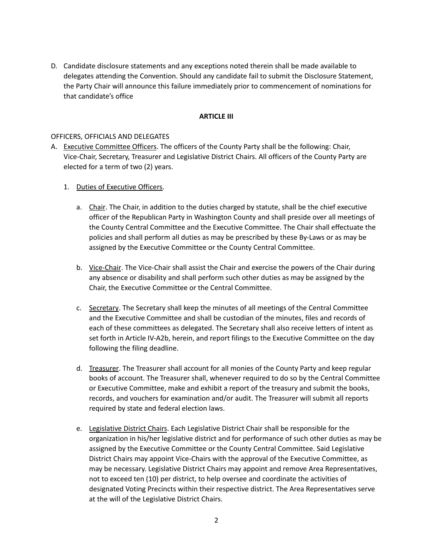D. Candidate disclosure statements and any exceptions noted therein shall be made available to delegates attending the Convention. Should any candidate fail to submit the Disclosure Statement, the Party Chair will announce this failure immediately prior to commencement of nominations for that candidate's office

#### **ARTICLE III**

#### OFFICERS, OFFICIALS AND DELEGATES

A. Executive Committee Officers. The officers of the County Party shall be the following: Chair, Vice-Chair, Secretary, Treasurer and Legislative District Chairs. All officers of the County Party are elected for a term of two (2) years.

## 1. Duties of Executive Officers.

- a. Chair. The Chair, in addition to the duties charged by statute, shall be the chief executive officer of the Republican Party in Washington County and shall preside over all meetings of the County Central Committee and the Executive Committee. The Chair shall effectuate the policies and shall perform all duties as may be prescribed by these By-Laws or as may be assigned by the Executive Committee or the County Central Committee.
- b. Vice-Chair. The Vice-Chair shall assist the Chair and exercise the powers of the Chair during any absence or disability and shall perform such other duties as may be assigned by the Chair, the Executive Committee or the Central Committee.
- c. Secretary. The Secretary shall keep the minutes of all meetings of the Central Committee and the Executive Committee and shall be custodian of the minutes, files and records of each of these committees as delegated. The Secretary shall also receive letters of intent as set forth in Article IV-A2b, herein, and report filings to the Executive Committee on the day following the filing deadline.
- d. Treasurer. The Treasurer shall account for all monies of the County Party and keep regular books of account. The Treasurer shall, whenever required to do so by the Central Committee or Executive Committee, make and exhibit a report of the treasury and submit the books, records, and vouchers for examination and/or audit. The Treasurer will submit all reports required by state and federal election laws.
- e. Legislative District Chairs. Each Legislative District Chair shall be responsible for the organization in his/her legislative district and for performance of such other duties as may be assigned by the Executive Committee or the County Central Committee. Said Legislative District Chairs may appoint Vice-Chairs with the approval of the Executive Committee, as may be necessary. Legislative District Chairs may appoint and remove Area Representatives, not to exceed ten (10) per district, to help oversee and coordinate the activities of designated Voting Precincts within their respective district. The Area Representatives serve at the will of the Legislative District Chairs.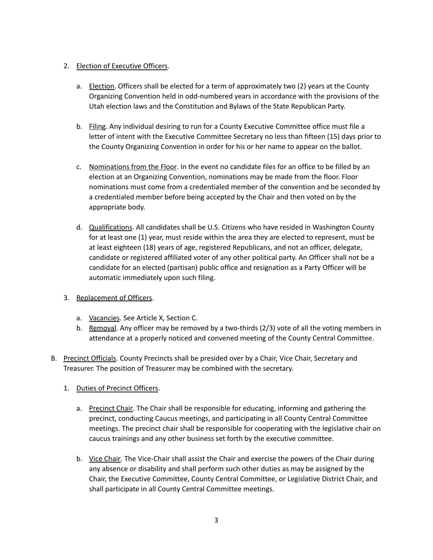# 2. Election of Executive Officers.

- a. Election. Officers shall be elected for a term of approximately two (2) years at the County Organizing Convention held in odd-numbered years in accordance with the provisions of the Utah election laws and the Constitution and Bylaws of the State Republican Party.
- b. Filing. Any individual desiring to run for a County Executive Committee office must file a letter of intent with the Executive Committee Secretary no less than fifteen (15) days prior to the County Organizing Convention in order for his or her name to appear on the ballot.
- c. Nominations from the Floor. In the event no candidate files for an office to be filled by an election at an Organizing Convention, nominations may be made from the floor. Floor nominations must come from a credentialed member of the convention and be seconded by a credentialed member before being accepted by the Chair and then voted on by the appropriate body.
- d. Qualifications. All candidates shall be U.S. Citizens who have resided in Washington County for at least one (1) year, must reside within the area they are elected to represent, must be at least eighteen (18) years of age, registered Republicans, and not an officer, delegate, candidate or registered affiliated voter of any other political party. An Officer shall not be a candidate for an elected (partisan) public office and resignation as a Party Officer will be automatic immediately upon such filing.
- 3. Replacement of Officers.
	- a. Vacancies. See Article X, Section C.
	- b. Removal. Any officer may be removed by a two-thirds (2/3) vote of all the voting members in attendance at a properly noticed and convened meeting of the County Central Committee.
- B. Precinct Officials. County Precincts shall be presided over by a Chair, Vice Chair, Secretary and Treasurer. The position of Treasurer may be combined with the secretary.
	- 1. Duties of Precinct Officers.
		- a. Precinct Chair. The Chair shall be responsible for educating, informing and gathering the precinct, conducting Caucus meetings, and participating in all County Central Committee meetings. The precinct chair shall be responsible for cooperating with the legislative chair on caucus trainings and any other business set forth by the executive committee.
		- b. Vice Chair. The Vice-Chair shall assist the Chair and exercise the powers of the Chair during any absence or disability and shall perform such other duties as may be assigned by the Chair, the Executive Committee, County Central Committee, or Legislative District Chair, and shall participate in all County Central Committee meetings.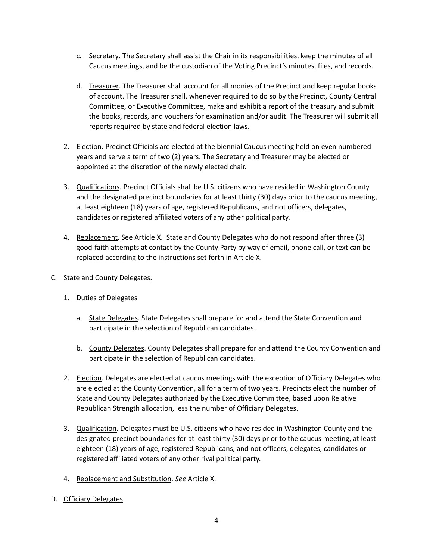- c. Secretary. The Secretary shall assist the Chair in its responsibilities, keep the minutes of all Caucus meetings, and be the custodian of the Voting Precinct's minutes, files, and records.
- d. Treasurer. The Treasurer shall account for all monies of the Precinct and keep regular books of account. The Treasurer shall, whenever required to do so by the Precinct, County Central Committee, or Executive Committee, make and exhibit a report of the treasury and submit the books, records, and vouchers for examination and/or audit. The Treasurer will submit all reports required by state and federal election laws.
- 2. Election. Precinct Officials are elected at the biennial Caucus meeting held on even numbered years and serve a term of two (2) years. The Secretary and Treasurer may be elected or appointed at the discretion of the newly elected chair.
- 3. Qualifications. Precinct Officials shall be U.S. citizens who have resided in Washington County and the designated precinct boundaries for at least thirty (30) days prior to the caucus meeting, at least eighteen (18) years of age, registered Republicans, and not officers, delegates, candidates or registered affiliated voters of any other political party.
- 4. Replacement. See Article X. State and County Delegates who do not respond after three (3) good-faith attempts at contact by the County Party by way of email, phone call, or text can be replaced according to the instructions set forth in Article X.
- C. State and County Delegates.
	- 1. Duties of Delegates
		- a. State Delegates. State Delegates shall prepare for and attend the State Convention and participate in the selection of Republican candidates.
		- b. County Delegates. County Delegates shall prepare for and attend the County Convention and participate in the selection of Republican candidates.
	- 2. Election. Delegates are elected at caucus meetings with the exception of Officiary Delegates who are elected at the County Convention, all for a term of two years. Precincts elect the number of State and County Delegates authorized by the Executive Committee, based upon Relative Republican Strength allocation, less the number of Officiary Delegates.
	- 3. Qualification. Delegates must be U.S. citizens who have resided in Washington County and the designated precinct boundaries for at least thirty (30) days prior to the caucus meeting, at least eighteen (18) years of age, registered Republicans, and not officers, delegates, candidates or registered affiliated voters of any other rival political party.
	- 4. Replacement and Substitution. *See* Article X.
- D. Officiary Delegates.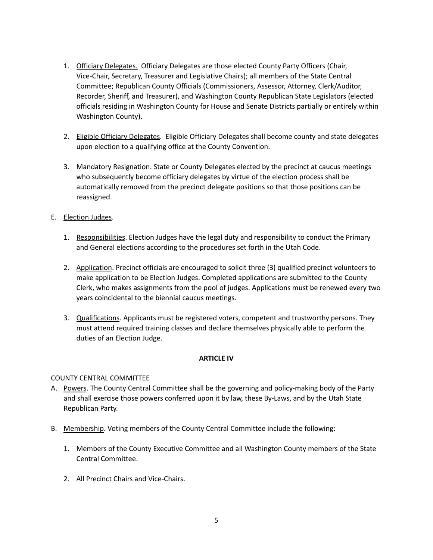- 1. Officiary Delegates. Officiary Delegates are those elected County Party Officers (Chair, Vice-Chair, Secretary, Treasurer and Legislative Chairs); all members of the State Central Committee; Republican County Officials (Commissioners, Assessor, Attorney, Clerk/Auditor, Recorder, Sheriff, and Treasurer), and Washington County Republican State Legislators (elected officials residing in Washington County for House and Senate Districts partially or entirely within Washington County).
- 2. Eligible Officiary Delegates. Eligible Officiary Delegates shall become county and state delegates upon election to a qualifying office at the County Convention.
- 3. Mandatory Resignation. State or County Delegates elected by the precinct at caucus meetings who subsequently become officiary delegates by virtue of the election process shall be automatically removed from the precinct delegate positions so that those positions can be reassigned.
- E. Election Judges.
	- 1. Responsibilities. Election Judges have the legal duty and responsibility to conduct the Primary and General elections according to the procedures set forth in the Utah Code.
	- 2. Application. Precinct officials are encouraged to solicit three (3) qualified precinct volunteers to make application to be Election Judges. Completed applications are submitted to the County Clerk, who makes assignments from the pool of judges. Applications must be renewed every two years coincidental to the biennial caucus meetings.
	- 3. Qualifications. Applicants must be registered voters, competent and trustworthy persons. They must attend required training classes and declare themselves physically able to perform the duties of an Election Judge.

# **ARTICLE IV**

# COUNTY CENTRAL COMMITTEE

- A. Powers. The County Central Committee shall be the governing and policy-making body of the Party and shall exercise those powers conferred upon it by law, these By-Laws, and by the Utah State Republican Party.
- B. Membership. Voting members of the County Central Committee include the following:
	- 1. Members of the County Executive Committee and all Washington County members of the State Central Committee.
	- 2. All Precinct Chairs and Vice-Chairs.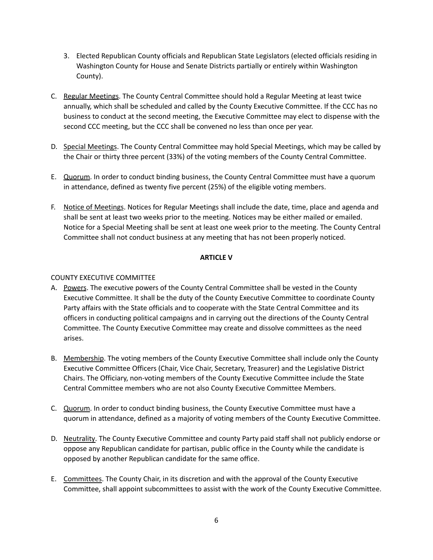- 3. Elected Republican County officials and Republican State Legislators (elected officials residing in Washington County for House and Senate Districts partially or entirely within Washington County).
- C. Regular Meetings. The County Central Committee should hold a Regular Meeting at least twice annually, which shall be scheduled and called by the County Executive Committee. If the CCC has no business to conduct at the second meeting, the Executive Committee may elect to dispense with the second CCC meeting, but the CCC shall be convened no less than once per year.
- D. Special Meetings. The County Central Committee may hold Special Meetings, which may be called by the Chair or thirty three percent (33%) of the voting members of the County Central Committee.
- E. Quorum. In order to conduct binding business, the County Central Committee must have a quorum in attendance, defined as twenty five percent (25%) of the eligible voting members.
- F. Notice of Meetings. Notices for Regular Meetings shall include the date, time, place and agenda and shall be sent at least two weeks prior to the meeting. Notices may be either mailed or emailed. Notice for a Special Meeting shall be sent at least one week prior to the meeting. The County Central Committee shall not conduct business at any meeting that has not been properly noticed.

## **ARTICLE V**

# COUNTY EXECUTIVE COMMITTEE

- A. Powers. The executive powers of the County Central Committee shall be vested in the County Executive Committee. It shall be the duty of the County Executive Committee to coordinate County Party affairs with the State officials and to cooperate with the State Central Committee and its officers in conducting political campaigns and in carrying out the directions of the County Central Committee. The County Executive Committee may create and dissolve committees as the need arises.
- B. Membership. The voting members of the County Executive Committee shall include only the County Executive Committee Officers (Chair, Vice Chair, Secretary, Treasurer) and the Legislative District Chairs. The Officiary, non-voting members of the County Executive Committee include the State Central Committee members who are not also County Executive Committee Members.
- C. Quorum. In order to conduct binding business, the County Executive Committee must have a quorum in attendance, defined as a majority of voting members of the County Executive Committee.
- D. Neutrality. The County Executive Committee and county Party paid staff shall not publicly endorse or oppose any Republican candidate for partisan, public office in the County while the candidate is opposed by another Republican candidate for the same office.
- E. Committees. The County Chair, in its discretion and with the approval of the County Executive Committee, shall appoint subcommittees to assist with the work of the County Executive Committee.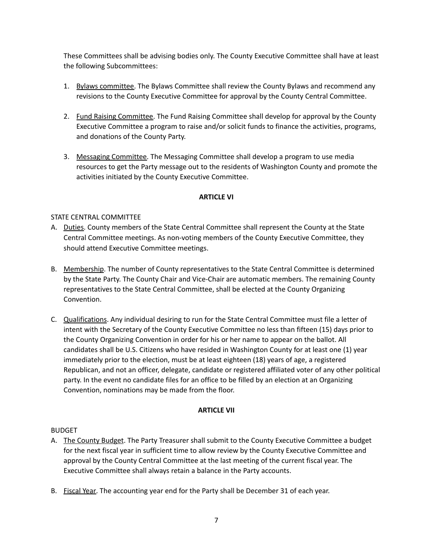These Committees shall be advising bodies only. The County Executive Committee shall have at least the following Subcommittees:

- 1. Bylaws committee. The Bylaws Committee shall review the County Bylaws and recommend any revisions to the County Executive Committee for approval by the County Central Committee.
- 2. Fund Raising Committee. The Fund Raising Committee shall develop for approval by the County Executive Committee a program to raise and/or solicit funds to finance the activities, programs, and donations of the County Party.
- 3. Messaging Committee. The Messaging Committee shall develop a program to use media resources to get the Party message out to the residents of Washington County and promote the activities initiated by the County Executive Committee.

## **ARTICLE VI**

## STATE CENTRAL COMMITTEE

- A. Duties. County members of the State Central Committee shall represent the County at the State Central Committee meetings. As non-voting members of the County Executive Committee, they should attend Executive Committee meetings.
- B. Membership. The number of County representatives to the State Central Committee is determined by the State Party. The County Chair and Vice-Chair are automatic members. The remaining County representatives to the State Central Committee, shall be elected at the County Organizing Convention.
- C. Qualifications. Any individual desiring to run for the State Central Committee must file a letter of intent with the Secretary of the County Executive Committee no less than fifteen (15) days prior to the County Organizing Convention in order for his or her name to appear on the ballot. All candidates shall be U.S. Citizens who have resided in Washington County for at least one (1) year immediately prior to the election, must be at least eighteen (18) years of age, a registered Republican, and not an officer, delegate, candidate or registered affiliated voter of any other political party. In the event no candidate files for an office to be filled by an election at an Organizing Convention, nominations may be made from the floor.

## **ARTICLE VII**

## BUDGET

- A. The County Budget. The Party Treasurer shall submit to the County Executive Committee a budget for the next fiscal year in sufficient time to allow review by the County Executive Committee and approval by the County Central Committee at the last meeting of the current fiscal year. The Executive Committee shall always retain a balance in the Party accounts.
- B. Fiscal Year. The accounting year end for the Party shall be December 31 of each year.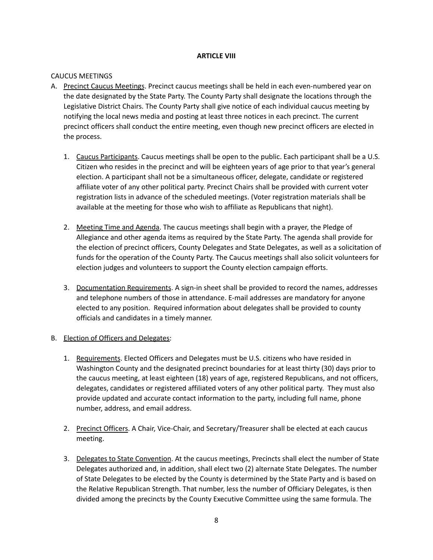#### **ARTICLE VIII**

#### CAUCUS MEETINGS

- A. Precinct Caucus Meetings. Precinct caucus meetings shall be held in each even-numbered year on the date designated by the State Party. The County Party shall designate the locations through the Legislative District Chairs. The County Party shall give notice of each individual caucus meeting by notifying the local news media and posting at least three notices in each precinct. The current precinct officers shall conduct the entire meeting, even though new precinct officers are elected in the process.
	- 1. Caucus Participants. Caucus meetings shall be open to the public. Each participant shall be a U.S. Citizen who resides in the precinct and will be eighteen years of age prior to that year's general election. A participant shall not be a simultaneous officer, delegate, candidate or registered affiliate voter of any other political party. Precinct Chairs shall be provided with current voter registration lists in advance of the scheduled meetings. (Voter registration materials shall be available at the meeting for those who wish to affiliate as Republicans that night).
	- 2. Meeting Time and Agenda. The caucus meetings shall begin with a prayer, the Pledge of Allegiance and other agenda items as required by the State Party. The agenda shall provide for the election of precinct officers, County Delegates and State Delegates, as well as a solicitation of funds for the operation of the County Party. The Caucus meetings shall also solicit volunteers for election judges and volunteers to support the County election campaign efforts.
	- 3. Documentation Requirements. A sign-in sheet shall be provided to record the names, addresses and telephone numbers of those in attendance. E-mail addresses are mandatory for anyone elected to any position. Required information about delegates shall be provided to county officials and candidates in a timely manner.

## B. Election of Officers and Delegates:

- 1. Requirements. Elected Officers and Delegates must be U.S. citizens who have resided in Washington County and the designated precinct boundaries for at least thirty (30) days prior to the caucus meeting, at least eighteen (18) years of age, registered Republicans, and not officers, delegates, candidates or registered affiliated voters of any other political party. They must also provide updated and accurate contact information to the party, including full name, phone number, address, and email address.
- 2. Precinct Officers. A Chair, Vice-Chair, and Secretary/Treasurer shall be elected at each caucus meeting.
- 3. Delegates to State Convention. At the caucus meetings, Precincts shall elect the number of State Delegates authorized and, in addition, shall elect two (2) alternate State Delegates. The number of State Delegates to be elected by the County is determined by the State Party and is based on the Relative Republican Strength. That number, less the number of Officiary Delegates, is then divided among the precincts by the County Executive Committee using the same formula. The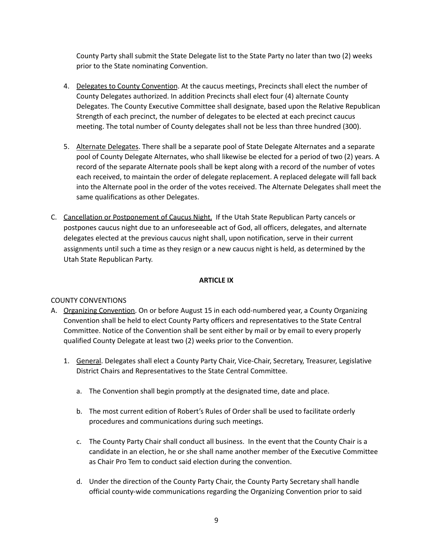County Party shall submit the State Delegate list to the State Party no later than two (2) weeks prior to the State nominating Convention.

- 4. Delegates to County Convention. At the caucus meetings, Precincts shall elect the number of County Delegates authorized. In addition Precincts shall elect four (4) alternate County Delegates. The County Executive Committee shall designate, based upon the Relative Republican Strength of each precinct, the number of delegates to be elected at each precinct caucus meeting. The total number of County delegates shall not be less than three hundred (300).
- 5. Alternate Delegates. There shall be a separate pool of State Delegate Alternates and a separate pool of County Delegate Alternates, who shall likewise be elected for a period of two (2) years. A record of the separate Alternate pools shall be kept along with a record of the number of votes each received, to maintain the order of delegate replacement. A replaced delegate will fall back into the Alternate pool in the order of the votes received. The Alternate Delegates shall meet the same qualifications as other Delegates.
- C. Cancellation or Postponement of Caucus Night. If the Utah State Republican Party cancels or postpones caucus night due to an unforeseeable act of God, all officers, delegates, and alternate delegates elected at the previous caucus night shall, upon notification, serve in their current assignments until such a time as they resign or a new caucus night is held, as determined by the Utah State Republican Party.

## **ARTICLE IX**

# COUNTY CONVENTIONS

- A. Organizing Convention. On or before August 15 in each odd-numbered year, a County Organizing Convention shall be held to elect County Party officers and representatives to the State Central Committee. Notice of the Convention shall be sent either by mail or by email to every properly qualified County Delegate at least two (2) weeks prior to the Convention.
	- 1. General. Delegates shall elect a County Party Chair, Vice-Chair, Secretary, Treasurer, Legislative District Chairs and Representatives to the State Central Committee.
		- a. The Convention shall begin promptly at the designated time, date and place.
		- b. The most current edition of Robert's Rules of Order shall be used to facilitate orderly procedures and communications during such meetings.
		- c. The County Party Chair shall conduct all business. In the event that the County Chair is a candidate in an election, he or she shall name another member of the Executive Committee as Chair Pro Tem to conduct said election during the convention.
		- d. Under the direction of the County Party Chair, the County Party Secretary shall handle official county-wide communications regarding the Organizing Convention prior to said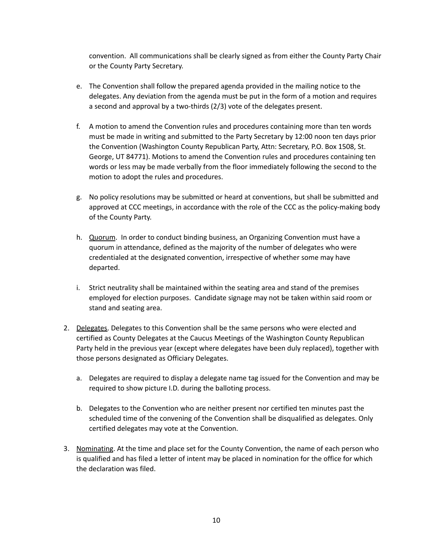convention. All communications shall be clearly signed as from either the County Party Chair or the County Party Secretary.

- e. The Convention shall follow the prepared agenda provided in the mailing notice to the delegates. Any deviation from the agenda must be put in the form of a motion and requires a second and approval by a two-thirds (2/3) vote of the delegates present.
- f. A motion to amend the Convention rules and procedures containing more than ten words must be made in writing and submitted to the Party Secretary by 12:00 noon ten days prior the Convention (Washington County Republican Party, Attn: Secretary, P.O. Box 1508, St. George, UT 84771). Motions to amend the Convention rules and procedures containing ten words or less may be made verbally from the floor immediately following the second to the motion to adopt the rules and procedures.
- g. No policy resolutions may be submitted or heard at conventions, but shall be submitted and approved at CCC meetings, in accordance with the role of the CCC as the policy-making body of the County Party.
- h. Quorum. In order to conduct binding business, an Organizing Convention must have a quorum in attendance, defined as the majority of the number of delegates who were credentialed at the designated convention, irrespective of whether some may have departed.
- i. Strict neutrality shall be maintained within the seating area and stand of the premises employed for election purposes. Candidate signage may not be taken within said room or stand and seating area.
- 2. Delegates. Delegates to this Convention shall be the same persons who were elected and certified as County Delegates at the Caucus Meetings of the Washington County Republican Party held in the previous year (except where delegates have been duly replaced), together with those persons designated as Officiary Delegates.
	- a. Delegates are required to display a delegate name tag issued for the Convention and may be required to show picture I.D. during the balloting process.
	- b. Delegates to the Convention who are neither present nor certified ten minutes past the scheduled time of the convening of the Convention shall be disqualified as delegates. Only certified delegates may vote at the Convention.
- 3. Nominating. At the time and place set for the County Convention, the name of each person who is qualified and has filed a letter of intent may be placed in nomination for the office for which the declaration was filed.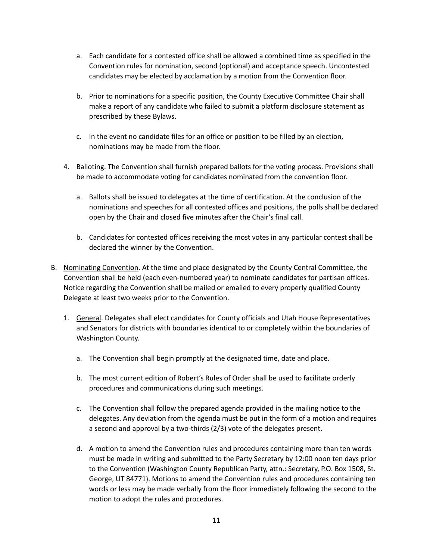- a. Each candidate for a contested office shall be allowed a combined time as specified in the Convention rules for nomination, second (optional) and acceptance speech. Uncontested candidates may be elected by acclamation by a motion from the Convention floor.
- b. Prior to nominations for a specific position, the County Executive Committee Chair shall make a report of any candidate who failed to submit a platform disclosure statement as prescribed by these Bylaws.
- c. In the event no candidate files for an office or position to be filled by an election, nominations may be made from the floor.
- 4. Balloting. The Convention shall furnish prepared ballots for the voting process. Provisions shall be made to accommodate voting for candidates nominated from the convention floor.
	- a. Ballots shall be issued to delegates at the time of certification. At the conclusion of the nominations and speeches for all contested offices and positions, the polls shall be declared open by the Chair and closed five minutes after the Chair's final call.
	- b. Candidates for contested offices receiving the most votes in any particular contest shall be declared the winner by the Convention.
- B. Nominating Convention. At the time and place designated by the County Central Committee, the Convention shall be held (each even-numbered year) to nominate candidates for partisan offices. Notice regarding the Convention shall be mailed or emailed to every properly qualified County Delegate at least two weeks prior to the Convention.
	- 1. General. Delegates shall elect candidates for County officials and Utah House Representatives and Senators for districts with boundaries identical to or completely within the boundaries of Washington County.
		- a. The Convention shall begin promptly at the designated time, date and place.
		- b. The most current edition of Robert's Rules of Order shall be used to facilitate orderly procedures and communications during such meetings.
		- c. The Convention shall follow the prepared agenda provided in the mailing notice to the delegates. Any deviation from the agenda must be put in the form of a motion and requires a second and approval by a two-thirds (2/3) vote of the delegates present.
		- d. A motion to amend the Convention rules and procedures containing more than ten words must be made in writing and submitted to the Party Secretary by 12:00 noon ten days prior to the Convention (Washington County Republican Party, attn.: Secretary, P.O. Box 1508, St. George, UT 84771). Motions to amend the Convention rules and procedures containing ten words or less may be made verbally from the floor immediately following the second to the motion to adopt the rules and procedures.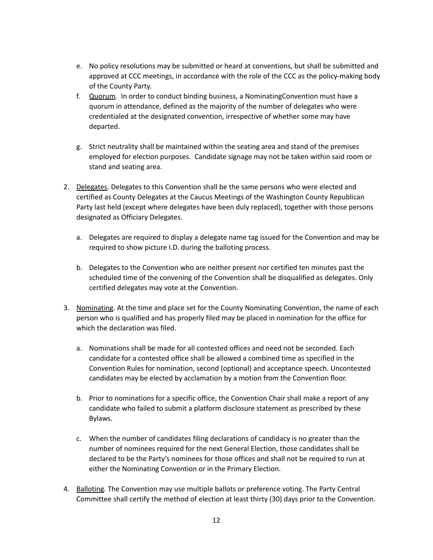- e. No policy resolutions may be submitted or heard at conventions, but shall be submitted and approved at CCC meetings, in accordance with the role of the CCC as the policy-making body of the County Party.
- f. Quorum. In order to conduct binding business, a NominatingConvention must have a quorum in attendance, defined as the majority of the number of delegates who were credentialed at the designated convention, irrespective of whether some may have departed.
- g. Strict neutrality shall be maintained within the seating area and stand of the premises employed for election purposes. Candidate signage may not be taken within said room or stand and seating area.
- 2. Delegates. Delegates to this Convention shall be the same persons who were elected and certified as County Delegates at the Caucus Meetings of the Washington County Republican Party last held (except where delegates have been duly replaced), together with those persons designated as Officiary Delegates.
	- a. Delegates are required to display a delegate name tag issued for the Convention and may be required to show picture I.D. during the balloting process.
	- b. Delegates to the Convention who are neither present nor certified ten minutes past the scheduled time of the convening of the Convention shall be disqualified as delegates. Only certified delegates may vote at the Convention.
- 3. Nominating. At the time and place set for the County Nominating Convention, the name of each person who is qualified and has properly filed may be placed in nomination for the office for which the declaration was filed.
	- a. Nominations shall be made for all contested offices and need not be seconded. Each candidate for a contested office shall be allowed a combined time as specified in the Convention Rules for nomination, second (optional) and acceptance speech. Uncontested candidates may be elected by acclamation by a motion from the Convention floor.
	- b. Prior to nominations for a specific office, the Convention Chair shall make a report of any candidate who failed to submit a platform disclosure statement as prescribed by these Bylaws.
	- c. When the number of candidates filing declarations of candidacy is no greater than the number of nominees required for the next General Election, those candidates shall be declared to be the Party's nominees for those offices and shall not be required to run at either the Nominating Convention or in the Primary Election.
- 4. Balloting. The Convention may use multiple ballots or preference voting. The Party Central Committee shall certify the method of election at least thirty (30) days prior to the Convention.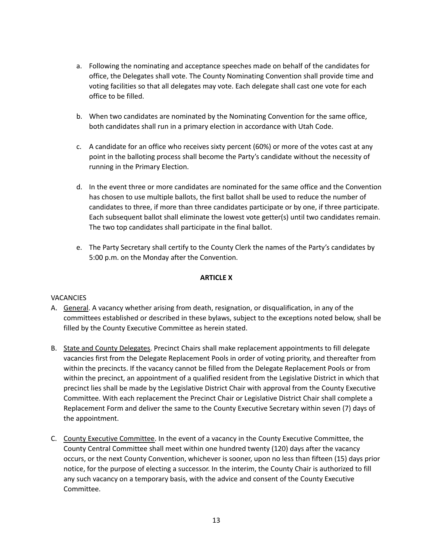- a. Following the nominating and acceptance speeches made on behalf of the candidates for office, the Delegates shall vote. The County Nominating Convention shall provide time and voting facilities so that all delegates may vote. Each delegate shall cast one vote for each office to be filled.
- b. When two candidates are nominated by the Nominating Convention for the same office, both candidates shall run in a primary election in accordance with Utah Code.
- c. A candidate for an office who receives sixty percent (60%) or more of the votes cast at any point in the balloting process shall become the Party's candidate without the necessity of running in the Primary Election.
- d. In the event three or more candidates are nominated for the same office and the Convention has chosen to use multiple ballots, the first ballot shall be used to reduce the number of candidates to three, if more than three candidates participate or by one, if three participate. Each subsequent ballot shall eliminate the lowest vote getter(s) until two candidates remain. The two top candidates shall participate in the final ballot.
- e. The Party Secretary shall certify to the County Clerk the names of the Party's candidates by 5:00 p.m. on the Monday after the Convention.

# **ARTICLE X**

# **VACANCIES**

- A. General. A vacancy whether arising from death, resignation, or disqualification, in any of the committees established or described in these bylaws, subject to the exceptions noted below, shall be filled by the County Executive Committee as herein stated.
- B. State and County Delegates. Precinct Chairs shall make replacement appointments to fill delegate vacancies first from the Delegate Replacement Pools in order of voting priority, and thereafter from within the precincts. If the vacancy cannot be filled from the Delegate Replacement Pools or from within the precinct, an appointment of a qualified resident from the Legislative District in which that precinct lies shall be made by the Legislative District Chair with approval from the County Executive Committee. With each replacement the Precinct Chair or Legislative District Chair shall complete a Replacement Form and deliver the same to the County Executive Secretary within seven (7) days of the appointment.
- C. County Executive Committee. In the event of a vacancy in the County Executive Committee, the County Central Committee shall meet within one hundred twenty (120) days after the vacancy occurs, or the next County Convention, whichever is sooner, upon no less than fifteen (15) days prior notice, for the purpose of electing a successor. In the interim, the County Chair is authorized to fill any such vacancy on a temporary basis, with the advice and consent of the County Executive Committee.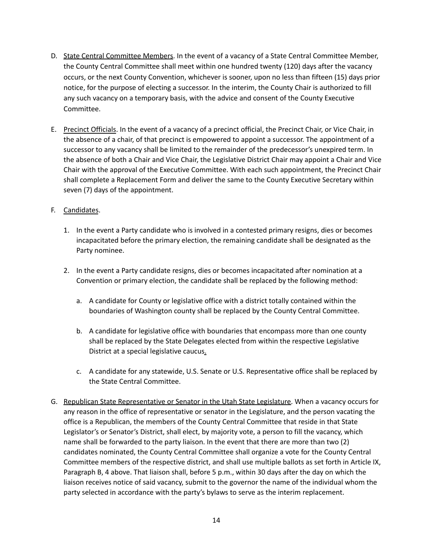- D. State Central Committee Members. In the event of a vacancy of a State Central Committee Member, the County Central Committee shall meet within one hundred twenty (120) days after the vacancy occurs, or the next County Convention, whichever is sooner, upon no less than fifteen (15) days prior notice, for the purpose of electing a successor. In the interim, the County Chair is authorized to fill any such vacancy on a temporary basis, with the advice and consent of the County Executive Committee.
- E. Precinct Officials. In the event of a vacancy of a precinct official, the Precinct Chair, or Vice Chair, in the absence of a chair, of that precinct is empowered to appoint a successor. The appointment of a successor to any vacancy shall be limited to the remainder of the predecessor's unexpired term. In the absence of both a Chair and Vice Chair, the Legislative District Chair may appoint a Chair and Vice Chair with the approval of the Executive Committee. With each such appointment, the Precinct Chair shall complete a Replacement Form and deliver the same to the County Executive Secretary within seven (7) days of the appointment.

# F. Candidates.

- 1. In the event a Party candidate who is involved in a contested primary resigns, dies or becomes incapacitated before the primary election, the remaining candidate shall be designated as the Party nominee.
- 2. In the event a Party candidate resigns, dies or becomes incapacitated after nomination at a Convention or primary election, the candidate shall be replaced by the following method:
	- a. A candidate for County or legislative office with a district totally contained within the boundaries of Washington county shall be replaced by the County Central Committee.
	- b. A candidate for legislative office with boundaries that encompass more than one county shall be replaced by the State Delegates elected from within the respective Legislative District at a special legislative caucus.
	- c. A candidate for any statewide, U.S. Senate or U.S. Representative office shall be replaced by the State Central Committee.
- G. Republican State Representative or Senator in the Utah State Legislature. When a vacancy occurs for any reason in the office of representative or senator in the Legislature, and the person vacating the office is a Republican, the members of the County Central Committee that reside in that State Legislator's or Senator's District, shall elect, by majority vote, a person to fill the vacancy, which name shall be forwarded to the party liaison. In the event that there are more than two (2) candidates nominated, the County Central Committee shall organize a vote for the County Central Committee members of the respective district, and shall use multiple ballots as set forth in Article IX, Paragraph B, 4 above. That liaison shall, before 5 p.m., within 30 days after the day on which the liaison receives notice of said vacancy, submit to the governor the name of the individual whom the party selected in accordance with the party's bylaws to serve as the interim replacement.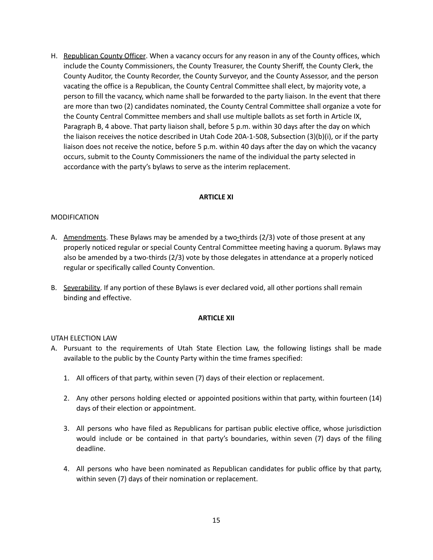H. Republican County Officer. When a vacancy occurs for any reason in any of the County offices, which include the County Commissioners, the County Treasurer, the County Sheriff, the County Clerk, the County Auditor, the County Recorder, the County Surveyor, and the County Assessor, and the person vacating the office is a Republican, the County Central Committee shall elect, by majority vote, a person to fill the vacancy, which name shall be forwarded to the party liaison. In the event that there are more than two (2) candidates nominated, the County Central Committee shall organize a vote for the County Central Committee members and shall use multiple ballots as set forth in Article IX, Paragraph B, 4 above. That party liaison shall, before 5 p.m. within 30 days after the day on which the liaison receives the notice described in Utah Code 20A-1-508, Subsection (3)(b)(i), or if the party liaison does not receive the notice, before 5 p.m. within 40 days after the day on which the vacancy occurs, submit to the County Commissioners the name of the individual the party selected in accordance with the party's bylaws to serve as the interim replacement.

#### **ARTICLE XI**

## MODIFICATION

- A. Amendments. These Bylaws may be amended by a two-thirds (2/3) vote of those present at any properly noticed regular or special County Central Committee meeting having a quorum. Bylaws may also be amended by a two-thirds (2/3) vote by those delegates in attendance at a properly noticed regular or specifically called County Convention.
- B. Severability. If any portion of these Bylaws is ever declared void, all other portions shall remain binding and effective.

#### **ARTICLE XII**

## UTAH ELECTION LAW

- A. Pursuant to the requirements of Utah State Election Law, the following listings shall be made available to the public by the County Party within the time frames specified:
	- 1. All officers of that party, within seven (7) days of their election or replacement.
	- 2. Any other persons holding elected or appointed positions within that party, within fourteen (14) days of their election or appointment.
	- 3. All persons who have filed as Republicans for partisan public elective office, whose jurisdiction would include or be contained in that party's boundaries, within seven (7) days of the filing deadline.
	- 4. All persons who have been nominated as Republican candidates for public office by that party, within seven (7) days of their nomination or replacement.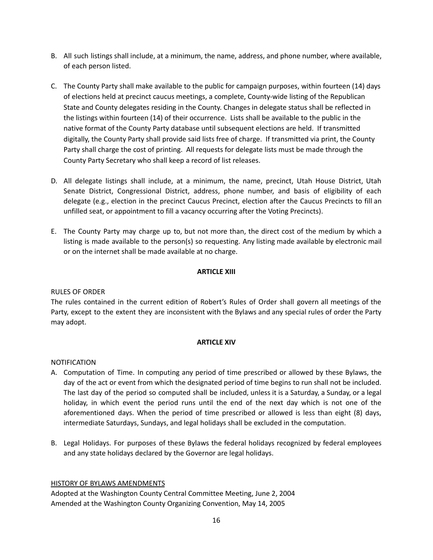- B. All such listings shall include, at a minimum, the name, address, and phone number, where available, of each person listed.
- C. The County Party shall make available to the public for campaign purposes, within fourteen (14) days of elections held at precinct caucus meetings, a complete, County-wide listing of the Republican State and County delegates residing in the County. Changes in delegate status shall be reflected in the listings within fourteen (14) of their occurrence. Lists shall be available to the public in the native format of the County Party database until subsequent elections are held. If transmitted digitally, the County Party shall provide said lists free of charge. If transmitted via print, the County Party shall charge the cost of printing. All requests for delegate lists must be made through the County Party Secretary who shall keep a record of list releases.
- D. All delegate listings shall include, at a minimum, the name, precinct, Utah House District, Utah Senate District, Congressional District, address, phone number, and basis of eligibility of each delegate (e.g., election in the precinct Caucus Precinct, election after the Caucus Precincts to fill an unfilled seat, or appointment to fill a vacancy occurring after the Voting Precincts).
- E. The County Party may charge up to, but not more than, the direct cost of the medium by which a listing is made available to the person(s) so requesting. Any listing made available by electronic mail or on the internet shall be made available at no charge.

## **ARTICLE XIII**

# RULES OF ORDER

The rules contained in the current edition of Robert's Rules of Order shall govern all meetings of the Party, except to the extent they are inconsistent with the Bylaws and any special rules of order the Party may adopt.

## **ARTICLE XIV**

## NOTIFICATION

- A. Computation of Time. In computing any period of time prescribed or allowed by these Bylaws, the day of the act or event from which the designated period of time begins to run shall not be included. The last day of the period so computed shall be included, unless it is a Saturday, a Sunday, or a legal holiday, in which event the period runs until the end of the next day which is not one of the aforementioned days. When the period of time prescribed or allowed is less than eight (8) days, intermediate Saturdays, Sundays, and legal holidays shall be excluded in the computation.
- B. Legal Holidays. For purposes of these Bylaws the federal holidays recognized by federal employees and any state holidays declared by the Governor are legal holidays.

## HISTORY OF BYLAWS AMENDMENTS

Adopted at the Washington County Central Committee Meeting, June 2, 2004 Amended at the Washington County Organizing Convention, May 14, 2005